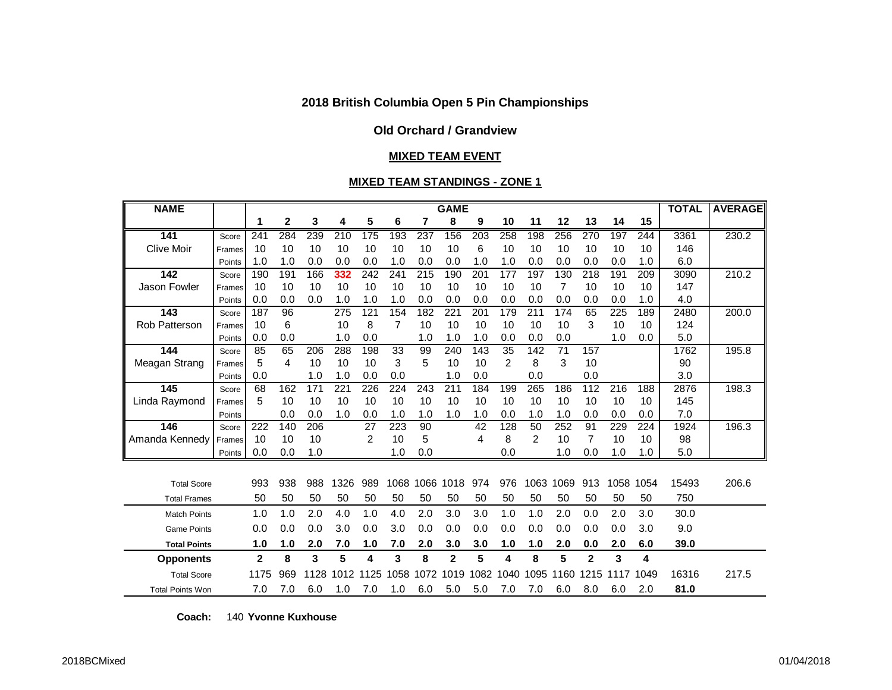## **Old Orchard / Grandview**

#### **MIXED TEAM EVENT**

#### **MIXED TEAM STANDINGS - ZONE 1**

| <b>NAME</b>             |        | <b>GAME</b>    |     |      |      |      |      |      |              |                  |                |                |      |                | <b>TOTAL</b> | <b>AVERAGE</b> |       |       |
|-------------------------|--------|----------------|-----|------|------|------|------|------|--------------|------------------|----------------|----------------|------|----------------|--------------|----------------|-------|-------|
|                         |        | 1              | 2   | 3    | 4    | 5    | 6    | 7    | 8            | 9                | 10             | 11             | 12   | 13             | 14           | 15             |       |       |
| 141                     | Score  | 241            | 284 | 239  | 210  | 175  | 193  | 237  | 156          | $\overline{203}$ | 258            | 198            | 256  | 270            | 197          | 244            | 3361  | 230.2 |
| <b>Clive Moir</b>       | Frames | 10             | 10  | 10   | 10   | 10   | 10   | 10   | 10           | 6                | 10             | 10             | 10   | 10             | 10           | 10             | 146   |       |
|                         | Points | 1.0            | 1.0 | 0.0  | 0.0  | 0.0  | 1.0  | 0.0  | 0.0          | 1.0              | 1.0            | 0.0            | 0.0  | 0.0            | 0.0          | 1.0            | 6.0   |       |
| 142                     | Score  | 190            | 191 | 166  | 332  | 242  | 241  | 215  | 190          | 201              | 177            | 197            | 130  | 218            | 191          | 209            | 3090  | 210.2 |
| Jason Fowler            | Frames | 10             | 10  | 10   | 10   | 10   | 10   | 10   | 10           | 10               | 10             | 10             | 7    | 10             | 10           | 10             | 147   |       |
|                         | Points | 0.0            | 0.0 | 0.0  | 1.0  | 1.0  | 1.0  | 0.0  | 0.0          | 0.0              | 0.0            | 0.0            | 0.0  | 0.0            | 0.0          | 1.0            | 4.0   |       |
| 143                     | Score  | 187            | 96  |      | 275  | 121  | 154  | 182  | 221          | 201              | 179            | 211            | 174  | 65             | 225          | 189            | 2480  | 200.0 |
| <b>Rob Patterson</b>    | Frames | 10             | 6   |      | 10   | 8    | 7    | 10   | 10           | 10               | 10             | 10             | 10   | 3              | 10           | 10             | 124   |       |
|                         | Points | 0.0            | 0.0 |      | 1.0  | 0.0  |      | 1.0  | 1.0          | 1.0              | 0.0            | 0.0            | 0.0  |                | 1.0          | 0.0            | 5.0   |       |
| 144                     | Score  | 85             | 65  | 206  | 288  | 198  | 33   | 99   | 240          | 143              | 35             | 142            | 71   | 157            |              |                | 1762  | 195.8 |
| Meagan Strang           | Frames | 5              | 4   | 10   | 10   | 10   | 3    | 5    | 10           | 10               | $\overline{2}$ | 8              | 3    | 10             |              |                | 90    |       |
|                         | Points | 0.0            |     | 1.0  | 1.0  | 0.0  | 0.0  |      | 1.0          | 0.0              |                | 0.0            |      | 0.0            |              |                | 3.0   |       |
| 145                     | Score  | 68             | 162 | 171  | 221  | 226  | 224  | 243  | 211          | 184              | 199            | 265            | 186  | 112            | 216          | 188            | 2876  | 198.3 |
| Linda Raymond           | Frames | 5              | 10  | 10   | 10   | 10   | 10   | 10   | 10           | 10               | 10             | 10             | 10   | 10             | 10           | 10             | 145   |       |
|                         | Points |                | 0.0 | 0.0  | 1.0  | 0.0  | 1.0  | 1.0  | 1.0          | 1.0              | 0.0            | 1.0            | 1.0  | 0.0            | 0.0          | 0.0            | 7.0   |       |
| 146                     | Score  | 222            | 140 | 206  |      | 27   | 223  | 90   |              | 42               | 128            | 50             | 252  | 91             | 229          | 224            | 1924  | 196.3 |
| Amanda Kennedy          | Frames | 10             | 10  | 10   |      | 2    | 10   | 5    |              | 4                | 8              | $\overline{2}$ | 10   | $\overline{7}$ | 10           | 10             | 98    |       |
|                         | Points | 0.0            | 0.0 | 1.0  |      |      | 1.0  | 0.0  |              |                  | 0.0            |                | 1.0  | 0.0            | 1.0          | 1.0            | 5.0   |       |
|                         |        |                |     |      |      |      |      |      |              |                  |                |                |      |                |              |                |       |       |
| <b>Total Score</b>      |        | 993            | 938 | 988  | 1326 | 989  | 1068 |      | 1066 1018    | 974              | 976            | 1063           | 1069 | 913            | 1058         | 1054           | 15493 | 206.6 |
| <b>Total Frames</b>     |        | 50             | 50  | 50   | 50   | 50   | 50   | 50   | 50           | 50               | 50             | 50             | 50   | 50             | 50           | 50             | 750   |       |
| <b>Match Points</b>     |        | 1.0            | 1.0 | 2.0  | 4.0  | 1.0  | 4.0  | 2.0  | 3.0          | 3.0              | 1.0            | 1.0            | 2.0  | 0.0            | 2.0          | 3.0            | 30.0  |       |
| <b>Game Points</b>      |        | 0.0            | 0.0 | 0.0  | 3.0  | 0.0  | 3.0  | 0.0  | 0.0          | 0.0              | 0.0            | 0.0            | 0.0  | 0.0            | 0.0          | 3.0            | 9.0   |       |
| <b>Total Points</b>     |        | 1.0            | 1.0 | 2.0  | 7.0  | 1.0  | 7.0  | 2.0  | 3.0          | 3.0              | 1.0            | 1.0            | 2.0  | 0.0            | 2.0          | 6.0            | 39.0  |       |
| <b>Opponents</b>        |        | $\overline{2}$ | 8   | 3    | 5    | 4    | 3    | 8    | $\mathbf{2}$ | 5                | 4              | 8              | 5    | $\mathbf{2}$   | 3            | 4              |       |       |
| <b>Total Score</b>      |        | 1175           | 969 | 1128 | 1012 | 1125 | 1058 | 1072 | 1019         | 1082             | 1040           | 1095           | 1160 | 1215           | 1117         | 1049           | 16316 | 217.5 |
| <b>Total Points Won</b> |        | 7.0            | 7.0 | 6.0  | 1.0  | 7.0  | 1.0  | 6.0  | 5.0          | 5.0              | 7.0            | 7.0            | 6.0  | 8.0            | 6.0          | 2.0            | 81.0  |       |

**Coach:** 140 **Yvonne Kuxhouse**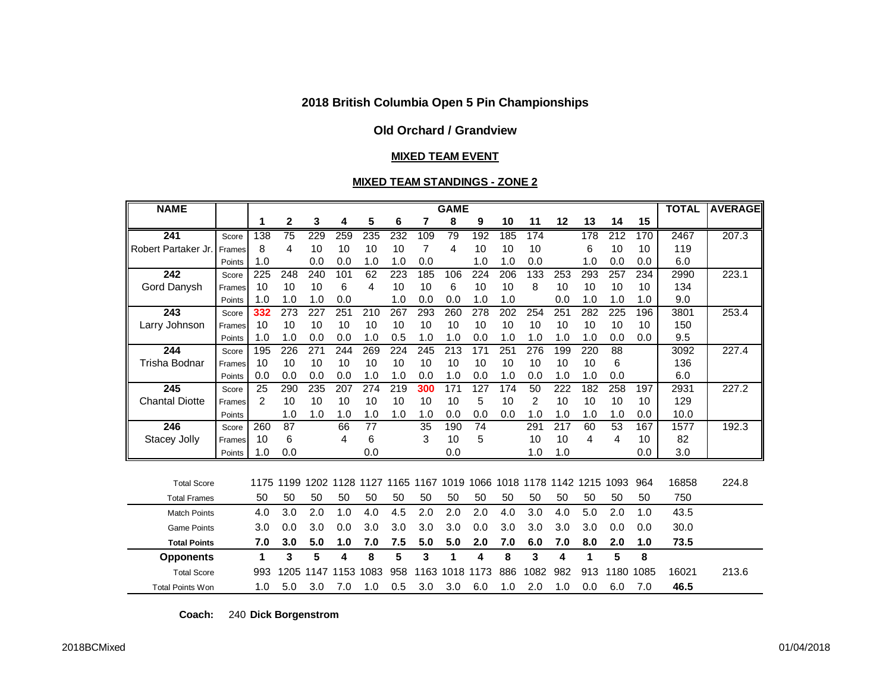## **Old Orchard / Grandview**

#### **MIXED TEAM EVENT**

#### **MIXED TEAM STANDINGS - ZONE 2**

| <b>NAME</b>             |        | <b>GAME</b> |                |      |      |      |     |      |      |      |     |                                         |     | <b>TOTAL</b> | <b>AVERAGE</b> |      |       |       |
|-------------------------|--------|-------------|----------------|------|------|------|-----|------|------|------|-----|-----------------------------------------|-----|--------------|----------------|------|-------|-------|
|                         |        | 1           | 2              | 3    | 4    | 5    | 6   | 7    | 8    | 9    | 10  | 11                                      | 12  | 13           | 14             | 15   |       |       |
| 241                     | Score  | 138         | 75             | 229  | 259  | 235  | 232 | 109  | 79   | 192  | 185 | 174                                     |     | 178          | 212            | 170  | 2467  | 207.3 |
| Robert Partaker Jr.     | Frames | 8           | 4              | 10   | 10   | 10   | 10  | 7    | 4    | 10   | 10  | 10                                      |     | 6            | 10             | 10   | 119   |       |
|                         | Points | 1.0         |                | 0.0  | 0.0  | 1.0  | 1.0 | 0.0  |      | 1.0  | 1.0 | 0.0                                     |     | 1.0          | 0.0            | 0.0  | 6.0   |       |
| 242                     | Score  | 225         | 248            | 240  | 101  | 62   | 223 | 185  | 106  | 224  | 206 | 133                                     | 253 | 293          | 257            | 234  | 2990  | 223.1 |
| Gord Danysh             | Frames | 10          | 10             | 10   | 6    | 4    | 10  | 10   | 6    | 10   | 10  | 8                                       | 10  | 10           | 10             | 10   | 134   |       |
|                         | Points | 1.0         | 1.0            | 1.0  | 0.0  |      | 1.0 | 0.0  | 0.0  | 1.0  | 1.0 |                                         | 0.0 | 1.0          | 1.0            | 1.0  | 9.0   |       |
| 243                     | Score  | 332         | 273            | 227  | 251  | 210  | 267 | 293  | 260  | 278  | 202 | 254                                     | 251 | 282          | 225            | 196  | 3801  | 253.4 |
| Larry Johnson           | Frames | 10          | 10             | 10   | 10   | 10   | 10  | 10   | 10   | 10   | 10  | 10                                      | 10  | 10           | 10             | 10   | 150   |       |
|                         | Points | 1.0         | 1.0            | 0.0  | 0.0  | 1.0  | 0.5 | 1.0  | 1.0  | 0.0  | 1.0 | 1.0                                     | 1.0 | 1.0          | 0.0            | 0.0  | 9.5   |       |
| 244                     | Score  | 195         | 226            | 271  | 244  | 269  | 224 | 245  | 213  | 171  | 251 | 276                                     | 199 | 220          | 88             |      | 3092  | 227.4 |
| Trisha Bodnar           | Frames | 10          | 10             | 10   | 10   | 10   | 10  | 10   | 10   | 10   | 10  | 10                                      | 10  | 10           | 6              |      | 136   |       |
|                         | Points | 0.0         | 0.0            | 0.0  | 0.0  | 1.0  | 1.0 | 0.0  | 1.0  | 0.0  | 1.0 | 0.0                                     | 1.0 | 1.0          | 0.0            |      | 6.0   |       |
| 245                     | Score  | 25          | 290            | 235  | 207  | 274  | 219 | 300  | 171  | 127  | 174 | 50                                      | 222 | 182          | 258            | 197  | 2931  | 227.2 |
| <b>Chantal Diotte</b>   | Frames | 2           | 10             | 10   | 10   | 10   | 10  | 10   | 10   | 5    | 10  | 2                                       | 10  | 10           | 10             | 10   | 129   |       |
|                         | Points |             | 1.0            | 1.0  | 1.0  | 1.0  | 1.0 | 1.0  | 0.0  | 0.0  | 0.0 | 1.0                                     | 1.0 | 1.0          | 1.0            | 0.0  | 10.0  |       |
| 246                     | Score  | 260         | 87             |      | 66   | 77   |     | 35   | 190  | 74   |     | 291                                     | 217 | 60           | 53             | 167  | 1577  | 192.3 |
| Stacey Jolly            | Frames | 10          | 6              |      | 4    | 6    |     | 3    | 10   | 5    |     | 10                                      | 10  | 4            | 4              | 10   | 82    |       |
|                         | Points | 1.0         | 0.0            |      |      | 0.0  |     |      | 0.0  |      |     | 1.0                                     | 1.0 |              |                | 0.0  | 3.0   |       |
|                         |        |             |                |      |      |      |     |      |      |      |     |                                         |     |              |                |      |       |       |
| <b>Total Score</b>      |        |             | 1175 1199 1202 |      | 1128 | 1127 |     |      |      |      |     | 1165 1167 1019 1066 1018 1178 1142 1215 |     |              | 1093           | 964  | 16858 | 224.8 |
| <b>Total Frames</b>     |        | 50          | 50             | 50   | 50   | 50   | 50  | 50   | 50   | 50   | 50  | 50                                      | 50  | 50           | 50             | 50   | 750   |       |
| <b>Match Points</b>     |        | 4.0         | 3.0            | 2.0  | 1.0  | 4.0  | 4.5 | 2.0  | 2.0  | 2.0  | 4.0 | 3.0                                     | 4.0 | 5.0          | 2.0            | 1.0  | 43.5  |       |
| <b>Game Points</b>      |        | 3.0         | 0.0            | 3.0  | 0.0  | 3.0  | 3.0 | 3.0  | 3.0  | 0.0  | 3.0 | 3.0                                     | 3.0 | 3.0          | 0.0            | 0.0  | 30.0  |       |
| <b>Total Points</b>     |        | 7.0         | 3.0            | 5.0  | 1.0  | 7.0  | 7.5 | 5.0  | 5.0  | 2.0  | 7.0 | 6.0                                     | 7.0 | 8.0          | 2.0            | 1.0  | 73.5  |       |
| <b>Opponents</b>        |        | 1           | 3              | 5    | 4    | 8    | 5   | 3    | 1    | 4    | 8   | 3                                       | 4   | 1            | 5              | 8    |       |       |
| <b>Total Score</b>      |        |             | 1205           | 1147 | 1153 | 1083 | 958 | 1163 | 1018 | 1173 | 886 | 1082                                    | 982 | 913          | 1180           | 1085 | 16021 | 213.6 |
| <b>Total Points Won</b> |        | 1.0         | 5.0            | 3.0  | 7.0  | 1.0  | 0.5 | 3.0  | 3.0  | 6.0  | 1.0 | 2.0                                     | 1.0 | 0.0          | 6.0            | 7.0  | 46.5  |       |

**Coach:** 240 **Dick Borgenstrom**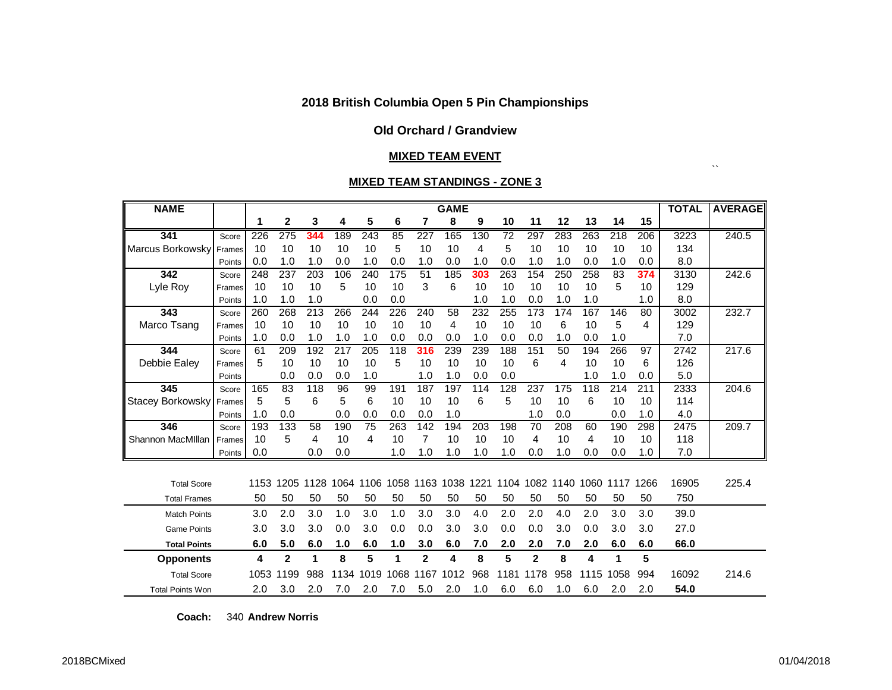#### **Old Orchard / Grandview**

#### **MIXED TEAM EVENT**

#### **MIXED TEAM STANDINGS - ZONE 3**

| <b>NAME</b>             |        |      |                |          |      |                  |      |                | <b>GAME</b> |      |                 |                |      |      |      |      | <b>TOTAL</b> | <b>AVERAGE</b> |
|-------------------------|--------|------|----------------|----------|------|------------------|------|----------------|-------------|------|-----------------|----------------|------|------|------|------|--------------|----------------|
|                         |        | 1    | $\overline{2}$ | 3        | 4    | 5                | 6    | 7              | 8           | 9    | 10              | 11             | 12   | 13   | 14   | 15   |              |                |
| 341                     | Score  | 226  | 275            | 344      | 189  | $\overline{243}$ | 85   | 227            | 165         | 130  | $\overline{72}$ | 297            | 283  | 263  | 218  | 206  | 3223         | 240.5          |
| <b>Marcus Borkowsky</b> | Frames | 10   | 10             | 10       | 10   | 10               | 5    | 10             | 10          | 4    | 5               | 10             | 10   | 10   | 10   | 10   | 134          |                |
|                         | Points | 0.0  | 1.0            | 1.0      | 0.0  | 1.0              | 0.0  | 1.0            | 0.0         | 1.0  | 0.0             | 1.0            | 1.0  | 0.0  | 1.0  | 0.0  | 8.0          |                |
| 342                     | Score  | 248  | 237            | 203      | 106  | 240              | 175  | 51             | 185         | 303  | 263             | 154            | 250  | 258  | 83   | 374  | 3130         | 242.6          |
| Lyle Roy                | Frames | 10   | 10             | 10       | 5    | 10               | 10   | 3              | 6           | 10   | 10              | 10             | 10   | 10   | 5    | 10   | 129          |                |
|                         | Points | 1.0  | 1.0            | 1.0      |      | 0.0              | 0.0  |                |             | 1.0  | 1.0             | 0.0            | 1.0  | 1.0  |      | 1.0  | 8.0          |                |
| 343                     | Score  | 260  | 268            | 213      | 266  | 244              | 226  | 240            | 58          | 232  | 255             | 173            | 174  | 167  | 146  | 80   | 3002         | 232.7          |
| Marco Tsang             | Frames | 10   | 10             | 10       | 10   | 10               | 10   | 10             | 4           | 10   | 10              | 10             | 6    | 10   | 5    | 4    | 129          |                |
|                         | Points | 1.0  | 0.0            | 1.0      | 1.0  | 1.0              | 0.0  | 0.0            | 0.0         | 1.0  | 0.0             | 0.0            | 1.0  | 0.0  | 1.0  |      | 7.0          |                |
| 344                     | Score  | 61   | 209            | 192      | 217  | 205              | 118  | 316            | 239         | 239  | 188             | 151            | 50   | 194  | 266  | 97   | 2742         | 217.6          |
| Debbie Ealey            | Frames | 5    | 10             | 10       | 10   | 10               | 5    | 10             | 10          | 10   | 10              | 6              | 4    | 10   | 10   | 6    | 126          |                |
|                         | Points |      | 0.0            | 0.0      | 0.0  | 1.0              |      | 1.0            | 1.0         | 0.0  | 0.0             |                |      | 1.0  | 1.0  | 0.0  | 5.0          |                |
| 345                     | Score  | 165  | 83             | 118      | 96   | 99               | 191  | 187            | 197         | 114  | 128             | 237            | 175  | 118  | 214  | 211  | 2333         | 204.6          |
| Stacey Borkowsky        | Frames | 5    | 5              | 6        | 5    | 6                | 10   | 10             | 10          | 6    | 5               | 10             | 10   | 6    | 10   | 10   | 114          |                |
|                         | Points | 1.0  | 0.0            |          | 0.0  | 0.0              | 0.0  | 0.0            | 1.0         |      |                 | 1.0            | 0.0  |      | 0.0  | 1.0  | 4.0          |                |
| 346                     | Score  | 193  | 133            | 58       | 190  | 75               | 263  | 142            | 194         | 203  | 198             | 70             | 208  | 60   | 190  | 298  | 2475         | 209.7          |
| Shannon MacMillan       | Frames | 10   | 5              | 4        | 10   | 4                | 10   | 7              | 10          | 10   | 10              | 4              | 10   | 4    | 10   | 10   | 118          |                |
|                         | Points | 0.0  |                | 0.0      | 0.0  |                  | 1.0  | 1.0            | 1.0         | 1.0  | 1.0             | 0.0            | 1.0  | 0.0  | 0.0  | 1.0  | 7.0          |                |
|                         |        |      |                |          |      |                  |      |                |             |      |                 |                |      |      |      |      |              |                |
| <b>Total Score</b>      |        | 1153 | 1205           | 128<br>1 | 1064 | 1106             | 1058 |                | 1163 1038   | 1221 |                 | 1104 1082      | 1140 | 1060 | 1117 | 1266 | 16905        | 225.4          |
| <b>Total Frames</b>     |        | 50   | 50             | 50       | 50   | 50               | 50   | 50             | 50          | 50   | 50              | 50             | 50   | 50   | 50   | 50   | 750          |                |
| <b>Match Points</b>     |        | 3.0  | 2.0            | 3.0      | 1.0  | 3.0              | 1.0  | 3.0            | 3.0         | 4.0  | 2.0             | 2.0            | 4.0  | 2.0  | 3.0  | 3.0  | 39.0         |                |
| <b>Game Points</b>      |        | 3.0  | 3.0            | 3.0      | 0.0  | 3.0              | 0.0  | 0.0            | 3.0         | 3.0  | 0.0             | 0.0            | 3.0  | 0.0  | 3.0  | 3.0  | 27.0         |                |
| <b>Total Points</b>     |        | 6.0  | 5.0            | 6.0      | 1.0  | 6.0              | 1.0  | 3.0            | 6.0         | 7.0  | 2.0             | 2.0            | 7.0  | 2.0  | 6.0  | 6.0  | 66.0         |                |
| <b>Opponents</b>        |        | 4    | $\overline{2}$ | 1        | 8    | 5                | 1    | $\overline{2}$ | 4           | 8    | 5               | $\overline{2}$ | 8    | 4    | 1    | 5    |              |                |
| <b>Total Score</b>      |        | 1053 | 1199           | 988      | 1134 | 1019             | 1068 | 1167           | 1012        | 968  | 1181            | 1178           | 958  | 1115 | 1058 | 994  | 16092        | 214.6          |
| <b>Total Points Won</b> |        | 2.0  | 3.0            | 2.0      | 7.0  | 2.0              | 7.0  | 5.0            | 2.0         | 1.0  | 6.0             | 6.0            | 1.0  | 6.0  | 2.0  | 2.0  | 54.0         |                |

**Coach:** 340 **Andrew Norris**

 $\lambda\lambda$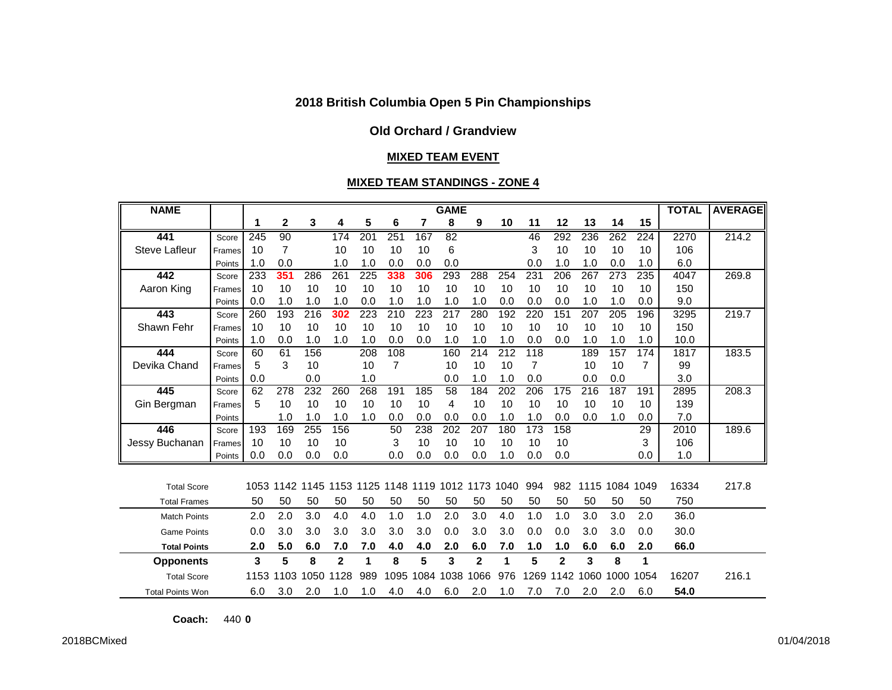## **Old Orchard / Grandview**

#### **MIXED TEAM EVENT**

#### **MIXED TEAM STANDINGS - ZONE 4**

| <b>NAME</b>             |        | <b>GAME</b> |           |      |              |     |      |      |                 |              |      |      |              |                  | <b>TOTAL</b> | <b>AVERAGE</b> |       |       |
|-------------------------|--------|-------------|-----------|------|--------------|-----|------|------|-----------------|--------------|------|------|--------------|------------------|--------------|----------------|-------|-------|
|                         |        | 1           | 2         | 3    | 4            | 5   | 6    | 7    | 8               | 9            | 10   | 11   | 12           | 13               | 14           | 15             |       |       |
| 441                     | Score  | 245         | 90        |      | 174          | 201 | 251  | 167  | 82              |              |      | 46   | 292          | 236              | 262          | 224            | 2270  | 214.2 |
| <b>Steve Lafleur</b>    | Frames | 10          | 7         |      | 10           | 10  | 10   | 10   | 6               |              |      | 3    | 10           | 10               | 10           | 10             | 106   |       |
|                         | Points | 1.0         | 0.0       |      | 1.0          | 1.0 | 0.0  | 0.0  | 0.0             |              |      | 0.0  | 1.0          | 1.0              | 0.0          | 1.0            | 6.0   |       |
| 442                     | Score  | 233         | 351       | 286  | 261          | 225 | 338  | 306  | 293             | 288          | 254  | 231  | 206          | 267              | 273          | 235            | 4047  | 269.8 |
| Aaron King              | Frames | 10          | 10        | 10   | 10           | 10  | 10   | 10   | 10              | 10           | 10   | 10   | 10           | 10               | 10           | 10             | 150   |       |
|                         | Points | 0.0         | 1.0       | 1.0  | 1.0          | 0.0 | 1.0  | 1.0  | 1.0             | 1.0          | 0.0  | 0.0  | 0.0          | 1.0              | 1.0          | 0.0            | 9.0   |       |
| 443                     | Score  | 260         | 193       | 216  | 302          | 223 | 210  | 223  | 217             | 280          | 192  | 220  | 151          | 207              | 205          | 196            | 3295  | 219.7 |
| Shawn Fehr              | Frames | 10          | 10        | 10   | 10           | 10  | 10   | 10   | 10              | 10           | 10   | 10   | 10           | 10               | 10           | 10             | 150   |       |
|                         | Points | 1.0         | 0.0       | 1.0  | 1.0          | 1.0 | 0.0  | 0.0  | 1.0             | 1.0          | 1.0  | 0.0  | 0.0          | 1.0              | 1.0          | 1.0            | 10.0  |       |
| 444                     | Score  | 60          | 61        | 156  |              | 208 | 108  |      | 160             | 214          | 212  | 118  |              | 189              | 157          | 174            | 1817  | 183.5 |
| Devika Chand            | Frames | 5           | 3         | 10   |              | 10  | 7    |      | 10              | 10           | 10   | 7    |              | 10               | 10           | 7              | 99    |       |
|                         | Points | 0.0         |           | 0.0  |              | 1.0 |      |      | 0.0             | 1.0          | 1.0  | 0.0  |              | 0.0              | 0.0          |                | 3.0   |       |
| 445                     | Score  | 62          | 278       | 232  | 260          | 268 | 191  | 185  | $\overline{58}$ | 184          | 202  | 206  | 175          | $\overline{216}$ | 187          | 191            | 2895  | 208.3 |
| Gin Bergman             | Frames | 5           | 10        | 10   | 10           | 10  | 10   | 10   | 4               | 10           | 10   | 10   | 10           | 10               | 10           | 10             | 139   |       |
|                         | Points |             | 1.0       | 1.0  | 1.0          | 1.0 | 0.0  | 0.0  | 0.0             | 0.0          | 1.0  | 1.0  | 0.0          | 0.0              | 1.0          | 0.0            | 7.0   |       |
| 446                     | Score  | 193         | 169       | 255  | 156          |     | 50   | 238  | 202             | 207          | 180  | 173  | 158          |                  |              | 29             | 2010  | 189.6 |
| Jessy Buchanan          | Frames | 10          | 10        | 10   | 10           |     | 3    | 10   | 10              | 10           | 10   | 10   | 10           |                  |              | 3              | 106   |       |
|                         | Points | 0.0         | 0.0       | 0.0  | 0.0          |     | 0.0  | 0.0  | 0.0             | 0.0          | 1.0  | 0.0  | 0.0          |                  |              | 0.0            | 1.0   |       |
|                         |        |             |           |      |              |     |      |      |                 |              |      |      |              |                  |              |                |       |       |
| <b>Total Score</b>      |        | 1053        | 1142 1145 |      | 1153 1125    |     |      |      | 1148 1119 1012  | 1173         | 1040 | 994  | 982          | 1115             | 1084         | 1049           | 16334 | 217.8 |
| <b>Total Frames</b>     |        | 50          | 50        | 50   | 50           | 50  | 50   | 50   | 50              | 50           | 50   | 50   | 50           | 50               | 50           | 50             | 750   |       |
| <b>Match Points</b>     |        | 2.0         | 2.0       | 3.0  | 4.0          | 4.0 | 1.0  | 1.0  | 2.0             | 3.0          | 4.0  | 1.0  | 1.0          | 3.0              | 3.0          | 2.0            | 36.0  |       |
| <b>Game Points</b>      |        | 0.0         | 3.0       | 3.0  | 3.0          | 3.0 | 3.0  | 3.0  | 0.0             | 3.0          | 3.0  | 0.0  | 0.0          | 3.0              | 3.0          | 0.0            | 30.0  |       |
| <b>Total Points</b>     |        | 2.0         | 5.0       | 6.0  | 7.0          | 7.0 | 4.0  | 4.0  | 2.0             | 6.0          | 7.0  | 1.0  | 1.0          | 6.0              | 6.0          | 2.0            | 66.0  |       |
| <b>Opponents</b>        |        | 3           | 5         | 8    | $\mathbf{2}$ | 1   | 8    | 5    | 3               | $\mathbf{2}$ | 1    | 5    | $\mathbf{2}$ | 3                | 8            | 1              |       |       |
| <b>Total Score</b>      |        | 1153        | 1103      | 1050 | 1128         | 989 | 1095 | 1084 | 1038            | 1066         | 976  | 1269 | 1142         | 1060             | 1000         | 1054           | 16207 | 216.1 |
| <b>Total Points Won</b> |        | 6.0         | 3.0       | 2.0  | 1.0          | 1.0 | 4.0  | 4.0  | 6.0             | 2.0          | 1.0  | 7.0  | 7.0          | 2.0              | 2.0          | 6.0            | 54.0  |       |

**Coach:** 440 **0**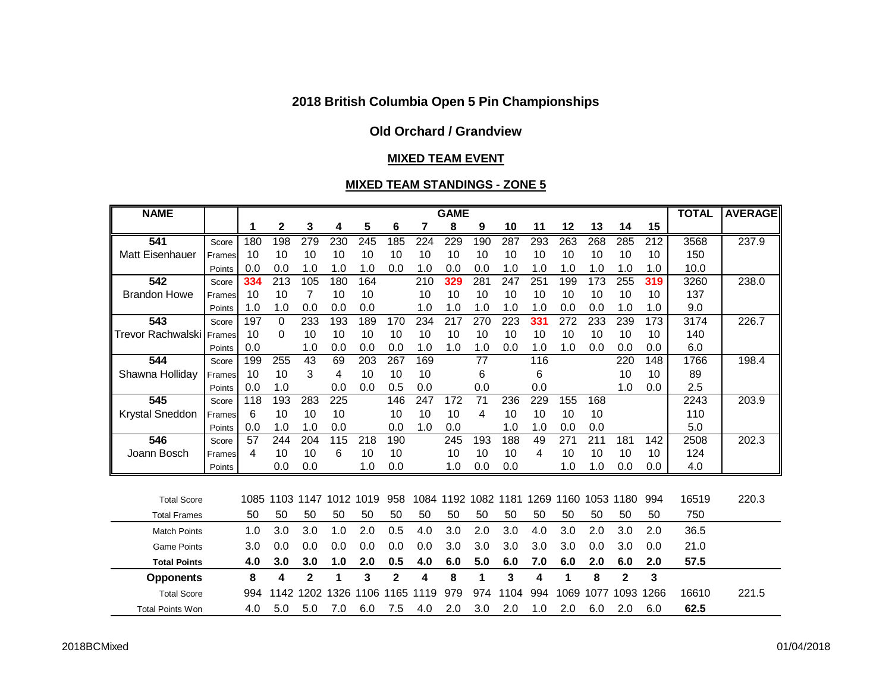# **Old Orchard / Grandview**

## **MIXED TEAM EVENT**

## **MIXED TEAM STANDINGS - ZONE 5**

| <b>NAME</b>              |        | <b>GAME</b> |           |                         |      |                  |                |          |      |                 |      |      |      |      |                         | <b>TOTAL</b> | <b>AVERAGE</b> |       |
|--------------------------|--------|-------------|-----------|-------------------------|------|------------------|----------------|----------|------|-----------------|------|------|------|------|-------------------------|--------------|----------------|-------|
|                          |        | 1           | 2         | 3                       | 4    | 5                | 6              | 7        | 8    | 9               | 10   | 11   | 12   | 13   | 14                      | 15           |                |       |
| 541                      | Score  | 180         | 198       | 279                     | 230  | $\overline{245}$ | 185            | 224      | 229  | 190             | 287  | 293  | 263  | 268  | 285                     | 212          | 3568           | 237.9 |
| <b>Matt Eisenhauer</b>   | Frames | 10          | 10        | 10                      | 10   | 10               | 10             | 10       | 10   | 10              | 10   | 10   | 10   | 10   | 10                      | 10           | 150            |       |
|                          | Points | 0.0         | 0.0       | 1.0                     | 1.0  | 1.0              | 0.0            | 1.0      | 0.0  | 0.0             | 1.0  | 1.0  | 1.0  | 1.0  | 1.0                     | 1.0          | 10.0           |       |
| 542                      | Score  | 334         | 213       | 105                     | 180  | 164              |                | 210      | 329  | 281             | 247  | 251  | 199  | 173  | 255                     | 319          | 3260           | 238.0 |
| <b>Brandon Howe</b>      | Frames | 10          | 10        | 7                       | 10   | 10               |                | 10       | 10   | 10              | 10   | 10   | 10   | 10   | 10                      | 10           | 137            |       |
|                          | Points | 1.0         | 1.0       | 0.0                     | 0.0  | 0.0              |                | 1.0      | 1.0  | 1.0             | 1.0  | 1.0  | 0.0  | 0.0  | 1.0                     | 1.0          | 9.0            |       |
| 543                      | Score  | 197         | $\Omega$  | 233                     | 193  | 189              | 170            | 234      | 217  | 270             | 223  | 331  | 272  | 233  | 239                     | 173          | 3174           | 226.7 |
| <b>Trevor Rachwalski</b> | Frames | 10          | 0         | 10                      | 10   | 10               | 10             | 10       | 10   | 10              | 10   | 10   | 10   | 10   | 10                      | 10           | 140            |       |
|                          | Points | 0.0         |           | 1.0                     | 0.0  | 0.0              | 0.0            | 1.0      | 1.0  | 1.0             | 0.0  | 1.0  | 1.0  | 0.0  | 0.0                     | 0.0          | 6.0            |       |
| 544                      | Score  | 199         | 255       | 43                      | 69   | 203              | 267            | 169      |      | $\overline{77}$ |      | 116  |      |      | 220                     | 148          | 1766           | 198.4 |
| Shawna Holliday          | Frames | 10          | 10        | 3                       | 4    | 10               | 10             | 10       |      | 6               |      | 6    |      |      | 10                      | 10           | 89             |       |
|                          | Points | 0.0         | 1.0       |                         | 0.0  | 0.0              | 0.5            | 0.0      |      | 0.0             |      | 0.0  |      |      | 1.0                     | 0.0          | 2.5            |       |
| 545                      | Score  | 118         | 193       | 283                     | 225  |                  | 146            | 247      | 172  | 71              | 236  | 229  | 155  | 168  |                         |              | 2243           | 203.9 |
| Krystal Sneddon          | Frames | 6           | 10        | 10                      | 10   |                  | 10             | 10       | 10   | 4               | 10   | 10   | 10   | 10   |                         |              | 110            |       |
|                          | Points | 0.0         | 1.0       | 1.0                     | 0.0  |                  | 0.0            | 1.0      | 0.0  |                 | 1.0  | 1.0  | 0.0  | 0.0  |                         |              | 5.0            |       |
| 546                      | Score  | 57          | 244       | 204                     | 115  | 218              | 190            |          | 245  | 193             | 188  | 49   | 271  | 211  | 181                     | 142          | 2508           | 202.3 |
| Joann Bosch              | Frames | 4           | 10        | 10                      | 6    | 10               | 10             |          | 10   | 10              | 10   | 4    | 10   | 10   | 10                      | 10           | 124            |       |
|                          | Points |             | 0.0       | 0.0                     |      | 1.0              | 0.0            |          | 1.0  | 0.0             | 0.0  |      | 1.0  | 1.0  | 0.0                     | 0.0          | 4.0            |       |
|                          |        |             |           |                         |      |                  |                |          |      |                 |      |      |      |      |                         |              |                |       |
| <b>Total Score</b>       |        | 1085        | 1103 1147 |                         | 1012 | 1019             | 958            | 1084     | 1192 | 1082            | 1181 | 1269 | 1160 | 1053 | 1180                    | 994          | 16519          | 220.3 |
| <b>Total Frames</b>      |        | 50          | 50        | 50                      | 50   | 50               | 50             | 50       | 50   | 50              | 50   | 50   | 50   | 50   | 50                      | 50           | 750            |       |
| <b>Match Points</b>      |        | 1.0         | 3.0       | 3.0                     | 1.0  | 2.0              | 0.5            | 4.0      | 3.0  | 2.0             | 3.0  | 4.0  | 3.0  | 2.0  | 3.0                     | 2.0          | 36.5           |       |
| <b>Game Points</b>       |        | 3.0         | 0.0       | 0.0                     | 0.0  | 0.0              | 0.0            | 0.0      | 3.0  | 3.0             | 3.0  | 3.0  | 3.0  | 0.0  | 3.0                     | 0.0          | 21.0           |       |
| <b>Total Points</b>      |        | 4.0         | 3.0       | 3.0                     | 1.0  | 2.0              | 0.5            | 4.0      | 6.0  | 5.0             | 6.0  | 7.0  | 6.0  | 2.0  | 6.0                     | 2.0          | 57.5           |       |
| <b>Opponents</b>         |        | 8           | 4         | $\overline{\mathbf{2}}$ | 1    | 3                | $\overline{2}$ | 4        | 8    | 1               | 3    | 4    | 1    | 8    | $\overline{\mathbf{2}}$ | 3            |                |       |
| <b>Total Score</b>       |        | 994         | 1142      | 202                     | 1326 | 1106             | 1165           | 19<br>11 | 979  | 974             | 1104 | 994  | 1069 | 1077 | 1093                    | 1266         | 16610          | 221.5 |
| <b>Total Points Won</b>  |        | 4.0         | 5.0       | 5.0                     | 7.0  | 6.0              | 7.5            | 4.0      | 2.0  | 3.0             | 2.0  | 1.0  | 2.0  | 6.0  | 2.0                     | 6.0          | 62.5           |       |